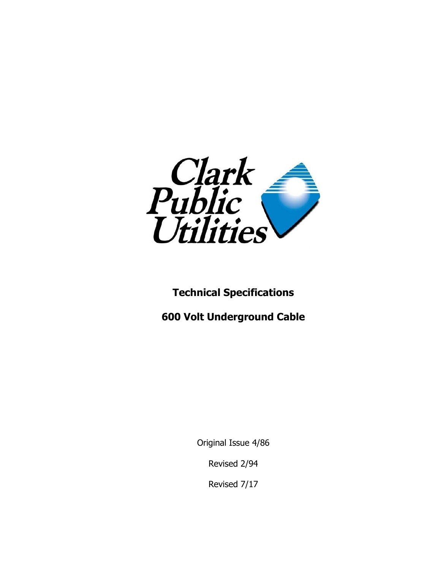

# **Technical Specifications**

**600 Volt Underground Cable**

Original Issue 4/86

Revised 2/94

Revised 7/17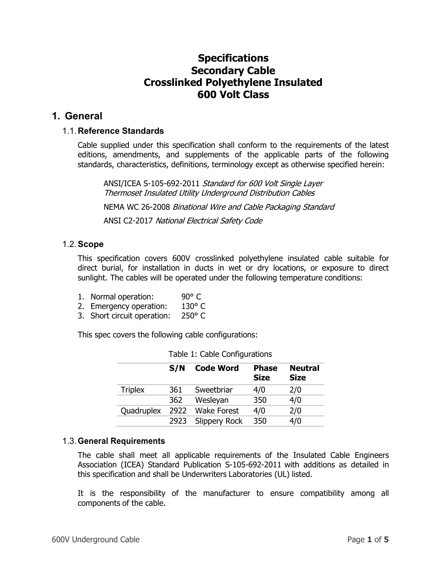# **Specifications Secondary Cable Crosslinked Polyethylene Insulated 600 Volt Class**

# **1. General**

# 1.1.**Reference Standards**

Cable supplied under this specification shall conform to the requirements of the latest editions, amendments, and supplements of the applicable parts of the following standards, characteristics, definitions, terminology except as otherwise specified herein:

ANSI/ICEA S-105-692-2011 Standard for 600 Volt Single Layer Thermoset Insulated Utility Underground Distribution Cables

NEMA WC 26-2008 Binational Wire and Cable Packaging Standard ANSI C2-2017 National Electrical Safety Code

# 1.2.**Scope**

This specification covers 600V crosslinked polyethylene insulated cable suitable for direct burial, for installation in ducts in wet or dry locations, or exposure to direct sunlight. The cables will be operated under the following temperature conditions:

- 1. Normal operation: 90° C
- 2. Emergency operation: 130° C
- 3. Short circuit operation: 250° C

This spec covers the following cable configurations:

|                | S/N  | <b>Code Word</b>     | <b>Phase</b><br><b>Size</b> | <b>Neutral</b><br><b>Size</b> |
|----------------|------|----------------------|-----------------------------|-------------------------------|
| <b>Triplex</b> | 361  | Sweetbriar           | 4/0                         | 2/0                           |
|                | 362  | Wesleyan             | 350                         | 4/0                           |
| Quadruplex     | 2922 | <b>Wake Forest</b>   | 4/0                         | 2/0                           |
|                | 2923 | <b>Slippery Rock</b> | 350                         | 4/0                           |

Table 1: Cable Configurations

# 1.3.**General Requirements**

The cable shall meet all applicable requirements of the Insulated Cable Engineers Association (ICEA) Standard Publication S-105-692-2011 with additions as detailed in this specification and shall be Underwriters Laboratories (UL) listed.

It is the responsibility of the manufacturer to ensure compatibility among all components of the cable.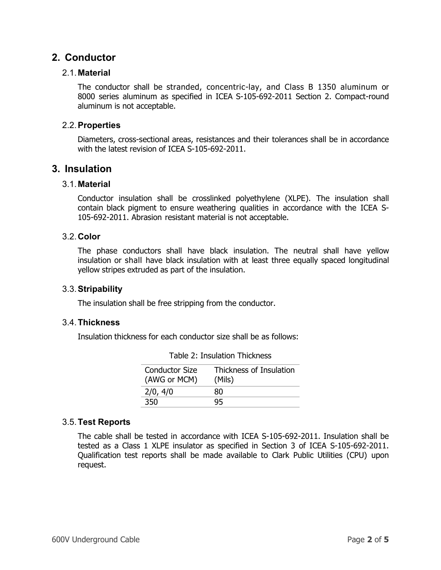# **2. Conductor**

# 2.1.**Material**

The conductor shall be stranded, concentric-lay, and Class B 1350 aluminum or 8000 series aluminum as specified in ICEA S-105-692-2011 Section 2. Compact-round aluminum is not acceptable.

# 2.2.**Properties**

Diameters, cross-sectional areas, resistances and their tolerances shall be in accordance with the latest revision of ICEA S-105-692-2011.

# **3. Insulation**

# 3.1.**Material**

Conductor insulation shall be crosslinked polyethylene (XLPE). The insulation shall contain black pigment to ensure weathering qualities in accordance with the ICEA S-105-692-2011. Abrasion resistant material is not acceptable.

# 3.2.**Color**

The phase conductors shall have black insulation. The neutral shall have yellow insulation or shall have black insulation with at least three equally spaced longitudinal yellow stripes extruded as part of the insulation.

# 3.3.**Stripability**

The insulation shall be free stripping from the conductor.

#### 3.4.**Thickness**

Insulation thickness for each conductor size shall be as follows:

| <b>Conductor Size</b><br>(AWG or MCM) | Thickness of Insulation<br>(Mils) |
|---------------------------------------|-----------------------------------|
| 2/0, 4/0                              | 80                                |
| 350                                   |                                   |

# 3.5.**Test Reports**

The cable shall be tested in accordance with ICEA S-105-692-2011. Insulation shall be tested as a Class 1 XLPE insulator as specified in Section 3 of ICEA S-105-692-2011. Qualification test reports shall be made available to Clark Public Utilities (CPU) upon request.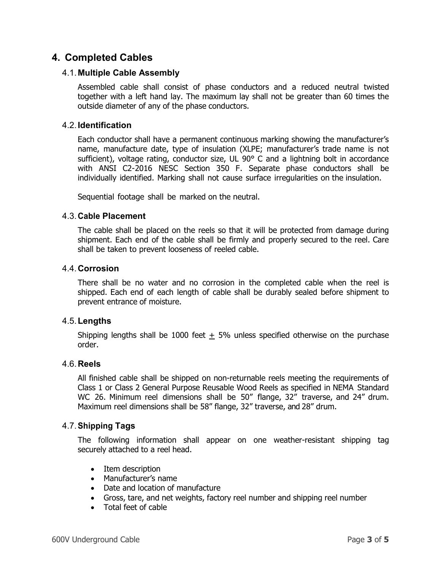# **4. Completed Cables**

# 4.1.**Multiple Cable Assembly**

Assembled cable shall consist of phase conductors and a reduced neutral twisted together with a left hand lay. The maximum lay shall not be greater than 60 times the outside diameter of any of the phase conductors.

# 4.2.**Identification**

Each conductor shall have a permanent continuous marking showing the manufacturer's name, manufacture date, type of insulation (XLPE; manufacturer's trade name is not sufficient), voltage rating, conductor size, UL 90° C and a lightning bolt in accordance with ANSI C2-2016 NESC Section 350 F. Separate phase conductors shall be individually identified. Marking shall not cause surface irregularities on the insulation.

Sequential footage shall be marked on the neutral.

# 4.3.**Cable Placement**

The cable shall be placed on the reels so that it will be protected from damage during shipment. Each end of the cable shall be firmly and properly secured to the reel. Care shall be taken to prevent looseness of reeled cable.

#### 4.4.**Corrosion**

There shall be no water and no corrosion in the completed cable when the reel is shipped. Each end of each length of cable shall be durably sealed before shipment to prevent entrance of moisture.

#### 4.5.**Lengths**

Shipping lengths shall be 1000 feet  $\pm$  5% unless specified otherwise on the purchase order.

#### 4.6.**Reels**

All finished cable shall be shipped on non-returnable reels meeting the requirements of Class 1 or Class 2 General Purpose Reusable Wood Reels as specified in NEMA Standard WC 26. Minimum reel dimensions shall be 50" flange, 32" traverse, and 24" drum. Maximum reel dimensions shall be 58" flange, 32" traverse, and 28" drum.

# 4.7.**Shipping Tags**

The following information shall appear on one weather-resistant shipping tag securely attached to a reel head.

- Item description
- Manufacturer's name
- Date and location of manufacture
- Gross, tare, and net weights, factory reel number and shipping reel number
- Total feet of cable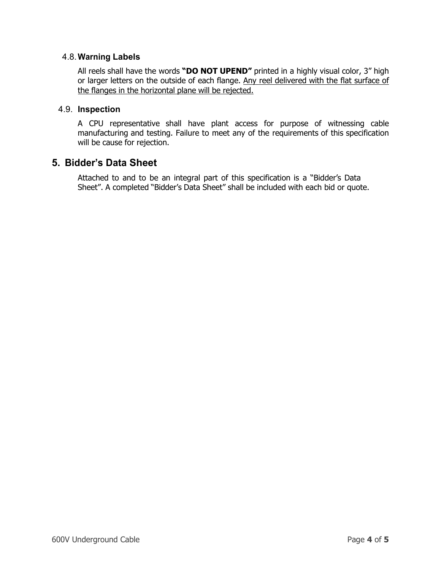# 4.8.**Warning Labels**

All reels shall have the words **"DO NOT UPEND"** printed in a highly visual color, 3" high or larger letters on the outside of each flange. Any reel delivered with the flat surface of the flanges in the horizontal plane will be rejected.

### 4.9. **Inspection**

A CPU representative shall have plant access for purpose of witnessing cable manufacturing and testing. Failure to meet any of the requirements of this specification will be cause for rejection.

# **5. Bidder's Data Sheet**

Attached to and to be an integral part of this specification is a "Bidder's Data Sheet". A completed "Bidder's Data Sheet" shall be included with each bid or quote.